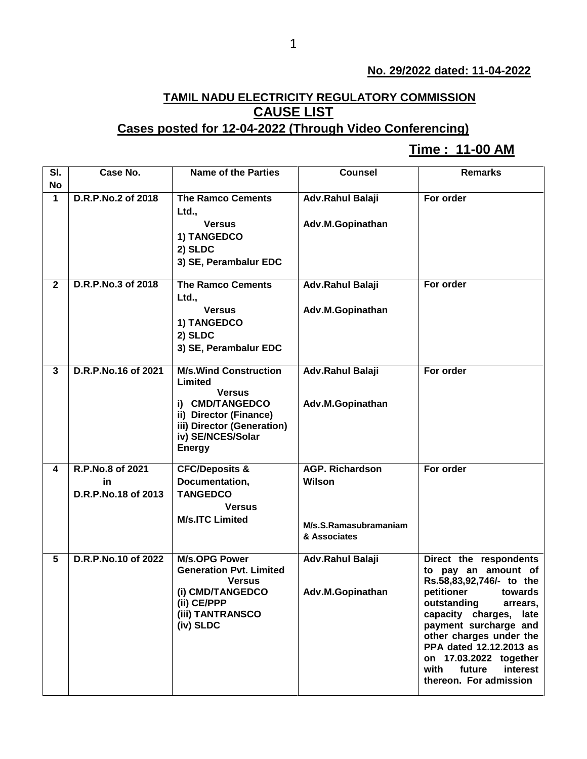## **No. 29/2022 dated: 11-04-2022**

## **TAMIL NADU ELECTRICITY REGULATORY COMMISSION CAUSE LIST**

## **Cases posted for 12-04-2022 (Through Video Conferencing)**

## **Time : 11-00 AM[**

| SI.            | Case No.               | <b>Name of the Parties</b>                           | <b>Counsel</b>                   | <b>Remarks</b>                                    |
|----------------|------------------------|------------------------------------------------------|----------------------------------|---------------------------------------------------|
| <b>No</b>      |                        |                                                      |                                  |                                                   |
| $\mathbf{1}$   | D.R.P.No.2 of 2018     | <b>The Ramco Cements</b>                             | Adv.Rahul Balaji                 | For order                                         |
|                |                        | Ltd.,                                                |                                  |                                                   |
|                |                        | <b>Versus</b>                                        | Adv.M.Gopinathan                 |                                                   |
|                |                        | 1) TANGEDCO                                          |                                  |                                                   |
|                |                        | 2) SLDC                                              |                                  |                                                   |
|                |                        | 3) SE, Perambalur EDC                                |                                  |                                                   |
| $\overline{2}$ | D.R.P.No.3 of 2018     | <b>The Ramco Cements</b>                             | Adv.Rahul Balaji                 | For order                                         |
|                |                        | Ltd.,                                                |                                  |                                                   |
|                |                        | <b>Versus</b>                                        | Adv.M.Gopinathan                 |                                                   |
|                |                        | 1) TANGEDCO                                          |                                  |                                                   |
|                |                        | 2) SLDC                                              |                                  |                                                   |
|                |                        | 3) SE, Perambalur EDC                                |                                  |                                                   |
| $\mathbf{3}$   | D.R.P.No.16 of 2021    | <b>M/s. Wind Construction</b>                        | Adv.Rahul Balaji                 | For order                                         |
|                |                        | Limited                                              |                                  |                                                   |
|                |                        | <b>Versus</b>                                        |                                  |                                                   |
|                |                        | i) CMD/TANGEDCO                                      | Adv.M.Gopinathan                 |                                                   |
|                |                        | ii) Director (Finance)<br>iii) Director (Generation) |                                  |                                                   |
|                |                        | iv) SE/NCES/Solar                                    |                                  |                                                   |
|                |                        | <b>Energy</b>                                        |                                  |                                                   |
|                |                        |                                                      |                                  |                                                   |
| 4              | R.P.No.8 of 2021<br>in | <b>CFC/Deposits &amp;</b>                            | <b>AGP. Richardson</b><br>Wilson | For order                                         |
|                | D.R.P.No.18 of 2013    | Documentation,<br><b>TANGEDCO</b>                    |                                  |                                                   |
|                |                        | <b>Versus</b>                                        |                                  |                                                   |
|                |                        | <b>M/s.ITC Limited</b>                               |                                  |                                                   |
|                |                        |                                                      | M/s.S.Ramasubramaniam            |                                                   |
|                |                        |                                                      | & Associates                     |                                                   |
| $5\phantom{1}$ | D.R.P.No.10 of 2022    | <b>M/s.OPG Power</b>                                 | Adv.Rahul Balaji                 | Direct the respondents                            |
|                |                        | <b>Generation Pvt. Limited</b>                       |                                  | to pay an amount of                               |
|                |                        | <b>Versus</b>                                        |                                  | Rs.58,83,92,746/- to the                          |
|                |                        | (i) CMD/TANGEDCO<br>(ii) CE/PPP                      | Adv.M.Gopinathan                 | petitioner<br>towards                             |
|                |                        | (iii) TANTRANSCO                                     |                                  | outstanding<br>arrears,<br>capacity charges, late |
|                |                        | (iv) SLDC                                            |                                  | payment surcharge and                             |
|                |                        |                                                      |                                  | other charges under the                           |
|                |                        |                                                      |                                  | PPA dated 12.12.2013 as                           |
|                |                        |                                                      |                                  | on 17.03.2022 together                            |
|                |                        |                                                      |                                  | with<br>future<br>interest                        |
|                |                        |                                                      |                                  | thereon. For admission                            |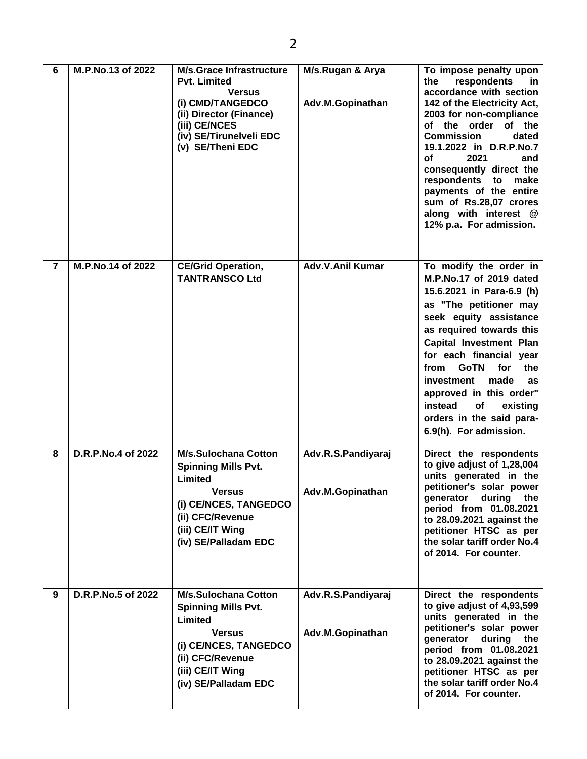| 6              | M.P.No.13 of 2022  | <b>M/s.Grace Infrastructure</b><br><b>Pvt. Limited</b><br><b>Versus</b><br>(i) CMD/TANGEDCO<br>(ii) Director (Finance)<br>(iii) CE/NCES<br>(iv) SE/Tirunelveli EDC<br>(v) SE/Theni EDC | M/s.Rugan & Arya<br>Adv.M.Gopinathan   | To impose penalty upon<br>the<br>respondents<br><u>in</u><br>accordance with section<br>142 of the Electricity Act,<br>2003 for non-compliance<br>of the order of the<br><b>Commission</b><br>dated<br>19.1.2022 in D.R.P.No.7<br>2021<br>оf<br>and<br>consequently direct the<br>respondents to<br>make<br>payments of the entire<br>sum of Rs.28,07 crores<br>along with interest @<br>12% p.a. For admission. |
|----------------|--------------------|----------------------------------------------------------------------------------------------------------------------------------------------------------------------------------------|----------------------------------------|------------------------------------------------------------------------------------------------------------------------------------------------------------------------------------------------------------------------------------------------------------------------------------------------------------------------------------------------------------------------------------------------------------------|
| $\overline{7}$ | M.P.No.14 of 2022  | <b>CE/Grid Operation,</b><br><b>TANTRANSCO Ltd</b>                                                                                                                                     | <b>Adv.V.Anil Kumar</b>                | To modify the order in<br>M.P.No.17 of 2019 dated<br>15.6.2021 in Para-6.9 (h)<br>as "The petitioner may<br>seek equity assistance<br>as required towards this<br><b>Capital Investment Plan</b><br>for each financial year<br>from GoTN<br>for<br>the<br>investment<br>made<br>as<br>approved in this order"<br>instead<br>of<br>existing<br>orders in the said para-<br>6.9(h). For admission.                 |
| 8              | D.R.P.No.4 of 2022 | <b>M/s.Sulochana Cotton</b><br><b>Spinning Mills Pvt.</b><br>Limited<br><b>Versus</b><br>(i) CE/NCES, TANGEDCO<br>(ii) CFC/Revenue<br>(iii) CE/IT Wing<br>(iv) SE/Palladam EDC         | Adv.R.S.Pandiyaraj<br>Adv.M.Gopinathan | Direct the respondents<br>to give adjust of 1,28,004<br>units generated in the<br>petitioner's solar power<br>generator<br>during<br>the<br>period from 01.08.2021<br>to 28.09.2021 against the<br>petitioner HTSC as per<br>the solar tariff order No.4<br>of 2014. For counter.                                                                                                                                |
| 9              | D.R.P.No.5 of 2022 | <b>M/s.Sulochana Cotton</b><br><b>Spinning Mills Pvt.</b><br>Limited<br><b>Versus</b><br>(i) CE/NCES, TANGEDCO<br>(ii) CFC/Revenue<br>(iii) CE/IT Wing<br>(iv) SE/Palladam EDC         | Adv.R.S.Pandiyaraj<br>Adv.M.Gopinathan | Direct the respondents<br>to give adjust of 4,93,599<br>units generated in the<br>petitioner's solar power<br>generator<br>during<br>the<br>period from 01.08.2021<br>to 28.09.2021 against the<br>petitioner HTSC as per<br>the solar tariff order No.4<br>of 2014. For counter.                                                                                                                                |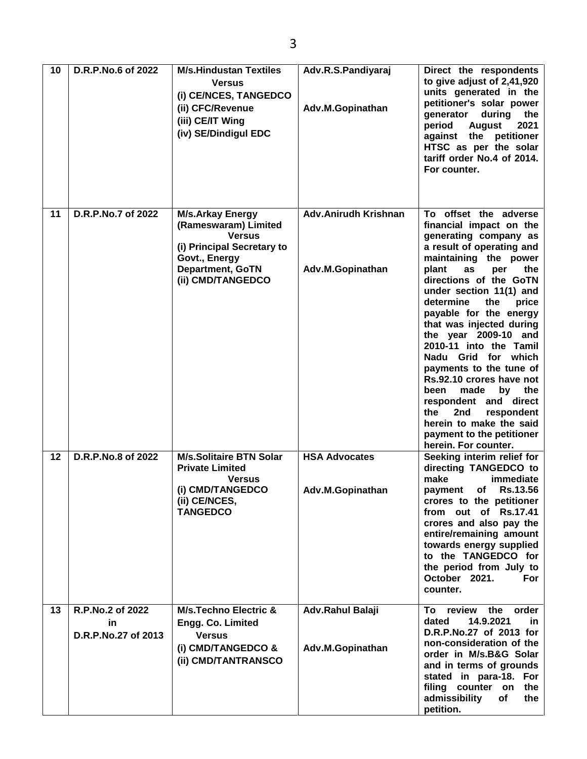| 10 | D.R.P.No.6 of 2022                            | <b>M/s.Hindustan Textiles</b><br><b>Versus</b><br>(i) CE/NCES, TANGEDCO<br>(ii) CFC/Revenue<br>(iii) CE/IT Wing<br>(iv) SE/Dindigul EDC                         | Adv.R.S.Pandiyaraj<br>Adv.M.Gopinathan          | Direct the respondents<br>to give adjust of 2,41,920<br>units generated in the<br>petitioner's solar power<br>during<br>qenerator<br>the<br><b>August</b><br>2021<br>period<br>against the petitioner<br>HTSC as per the solar<br>tariff order No.4 of 2014.<br>For counter.                                                                                                                                                                                                                                                                                                                           |
|----|-----------------------------------------------|-----------------------------------------------------------------------------------------------------------------------------------------------------------------|-------------------------------------------------|--------------------------------------------------------------------------------------------------------------------------------------------------------------------------------------------------------------------------------------------------------------------------------------------------------------------------------------------------------------------------------------------------------------------------------------------------------------------------------------------------------------------------------------------------------------------------------------------------------|
| 11 | D.R.P.No.7 of 2022                            | <b>M/s.Arkay Energy</b><br>(Rameswaram) Limited<br><b>Versus</b><br>(i) Principal Secretary to<br>Govt., Energy<br><b>Department, GoTN</b><br>(ii) CMD/TANGEDCO | <b>Adv.Anirudh Krishnan</b><br>Adv.M.Gopinathan | To offset the adverse<br>financial impact on the<br>generating company as<br>a result of operating and<br>maintaining the power<br>plant<br>as<br>the<br>per<br>directions of the GoTN<br>under section 11(1) and<br>the<br>determine<br>price<br>payable for the energy<br>that was injected during<br>the year 2009-10 and<br>2010-11 into the Tamil<br>Nadu Grid for which<br>payments to the tune of<br>Rs.92.10 crores have not<br>made<br>the<br>been<br>by<br>respondent and direct<br>2nd<br>the<br>respondent<br>herein to make the said<br>payment to the petitioner<br>herein. For counter. |
| 12 | D.R.P.No.8 of 2022                            | <b>M/s.Solitaire BTN Solar</b><br><b>Private Limited</b><br><b>Versus</b><br>(i) CMD/TANGEDCO<br>(ii) CE/NCES,<br><b>TANGEDCO</b>                               | <b>HSA Advocates</b><br>Adv.M.Gopinathan        | Seeking interim relief for<br>directing TANGEDCO to<br>make<br>immediate<br>payment of Rs.13.56<br>crores to the petitioner<br>from out of Rs.17.41<br>crores and also pay the<br>entire/remaining amount<br>towards energy supplied<br>to the TANGEDCO for<br>the period from July to                                                                                                                                                                                                                                                                                                                 |
| 13 | R.P.No.2 of 2022<br>in<br>D.R.P.No.27 of 2013 | <b>M/s.Techno Electric &amp;</b><br>Engg. Co. Limited<br><b>Versus</b><br>(i) CMD/TANGEDCO &<br>(ii) CMD/TANTRANSCO                                             | Adv.Rahul Balaji<br>Adv.M.Gopinathan            | October 2021.<br>For<br>counter.<br>To review the<br>order<br>14.9.2021<br>dated<br>in.<br>D.R.P.No.27 of 2013 for<br>non-consideration of the<br>order in M/s.B&G Solar<br>and in terms of grounds<br>stated in para-18. For<br>filing counter on<br>the<br>admissibility<br>of<br>the<br>petition.                                                                                                                                                                                                                                                                                                   |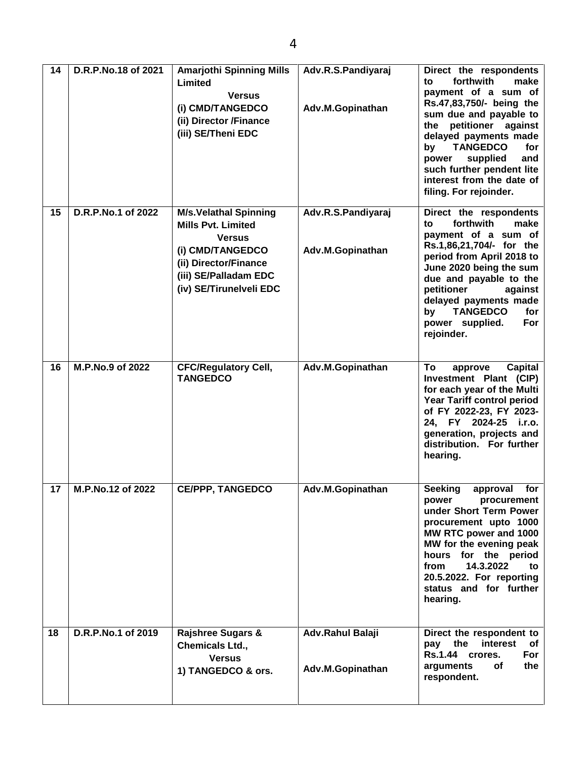| 14 | D.R.P.No.18 of 2021 | <b>Amarjothi Spinning Mills</b><br>Limited<br><b>Versus</b><br>(i) CMD/TANGEDCO<br>(ii) Director /Finance<br>(iii) SE/Theni EDC                                             | Adv.R.S.Pandiyaraj<br>Adv.M.Gopinathan | Direct the respondents<br>forthwith<br>make<br>to<br>payment of a sum of<br>Rs.47,83,750/- being the<br>sum due and payable to<br>petitioner against<br>the<br>delayed payments made<br><b>TANGEDCO</b><br>for<br>by<br>supplied<br>and<br>power<br>such further pendent lite<br>interest from the date of<br>filing. For rejoinder. |
|----|---------------------|-----------------------------------------------------------------------------------------------------------------------------------------------------------------------------|----------------------------------------|--------------------------------------------------------------------------------------------------------------------------------------------------------------------------------------------------------------------------------------------------------------------------------------------------------------------------------------|
| 15 | D.R.P.No.1 of 2022  | <b>M/s.Velathal Spinning</b><br><b>Mills Pvt. Limited</b><br><b>Versus</b><br>(i) CMD/TANGEDCO<br>(ii) Director/Finance<br>(iii) SE/Palladam EDC<br>(iv) SE/Tirunelveli EDC | Adv.R.S.Pandiyaraj<br>Adv.M.Gopinathan | Direct the respondents<br>forthwith<br>make<br>to<br>payment of a sum of<br>Rs.1,86,21,704/- for the<br>period from April 2018 to<br>June 2020 being the sum<br>due and payable to the<br>petitioner<br>against<br>delayed payments made<br><b>TANGEDCO</b><br>by<br>for<br>power supplied.<br>For<br>rejoinder.                     |
| 16 | M.P.No.9 of 2022    | <b>CFC/Regulatory Cell,</b><br><b>TANGEDCO</b>                                                                                                                              | Adv.M.Gopinathan                       | To<br><b>Capital</b><br>approve<br>Investment Plant (CIP)<br>for each year of the Multi<br><b>Year Tariff control period</b><br>of FY 2022-23, FY 2023-<br>24, FY 2024-25 i.r.o.<br>generation, projects and<br>distribution. For further<br>hearing.                                                                                |
| 17 | M.P.No.12 of 2022   | <b>CE/PPP, TANGEDCO</b>                                                                                                                                                     | Adv.M.Gopinathan                       | <b>Seeking</b><br>for<br>approval<br>power<br>procurement<br>under Short Term Power<br>procurement upto 1000<br>MW RTC power and 1000<br>MW for the evening peak<br>hours for the period<br>14.3.2022<br>from<br>to<br>20.5.2022. For reporting<br>status and for further<br>hearing.                                                |
| 18 | D.R.P.No.1 of 2019  | <b>Rajshree Sugars &amp;</b><br>Chemicals Ltd.,<br><b>Versus</b><br>1) TANGEDCO & ors.                                                                                      | Adv.Rahul Balaji<br>Adv.M.Gopinathan   | Direct the respondent to<br>pay the<br>interest<br>of<br>Rs.1.44 crores.<br>For<br>arguments<br>of<br>the<br>respondent.                                                                                                                                                                                                             |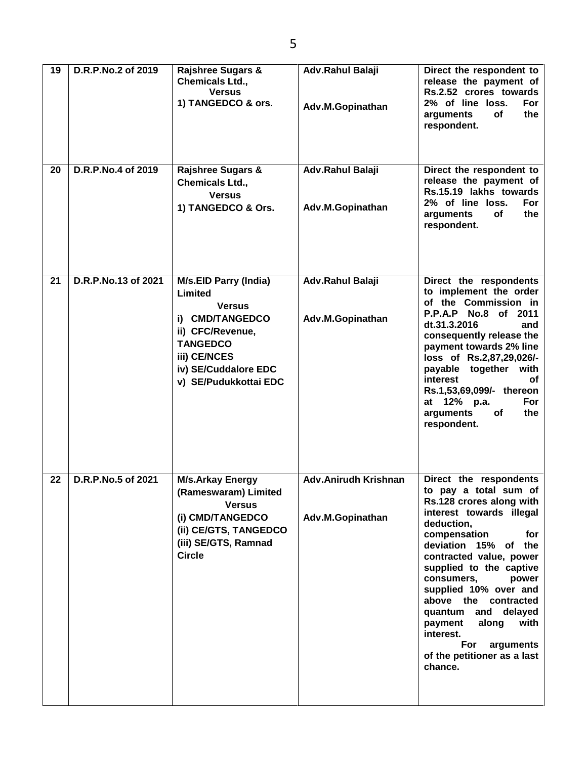| 19 | D.R.P.No.2 of 2019  | <b>Rajshree Sugars &amp;</b><br><b>Chemicals Ltd.,</b><br><b>Versus</b><br>1) TANGEDCO & ors.                                                                                       | Adv.Rahul Balaji<br>Adv.M.Gopinathan            | Direct the respondent to<br>release the payment of<br>Rs.2.52 crores towards<br>2% of line loss.<br>For<br>the<br>of<br>arguments<br>respondent.                                                                                                                                                                                                                                                                                    |
|----|---------------------|-------------------------------------------------------------------------------------------------------------------------------------------------------------------------------------|-------------------------------------------------|-------------------------------------------------------------------------------------------------------------------------------------------------------------------------------------------------------------------------------------------------------------------------------------------------------------------------------------------------------------------------------------------------------------------------------------|
| 20 | D.R.P.No.4 of 2019  | <b>Rajshree Sugars &amp;</b><br><b>Chemicals Ltd.,</b><br><b>Versus</b><br>1) TANGEDCO & Ors.                                                                                       | Adv.Rahul Balaji<br>Adv.M.Gopinathan            | Direct the respondent to<br>release the payment of<br>Rs.15.19 lakhs towards<br>2% of line loss.<br>For<br>arguments<br>of<br>the<br>respondent.                                                                                                                                                                                                                                                                                    |
| 21 | D.R.P.No.13 of 2021 | <b>M/s.EID Parry (India)</b><br>Limited<br><b>Versus</b><br>i) CMD/TANGEDCO<br>ii) CFC/Revenue,<br><b>TANGEDCO</b><br>iii) CE/NCES<br>iv) SE/Cuddalore EDC<br>v) SE/Pudukkottai EDC | Adv.Rahul Balaji<br>Adv.M.Gopinathan            | Direct the respondents<br>to implement the order<br>of the Commission in<br>P.P.A.P No.8 of 2011<br>dt.31.3.2016<br>and<br>consequently release the<br>payment towards 2% line<br>loss of Rs.2,87,29,026/-<br>payable together with<br>interest<br>оf<br>Rs.1,53,69,099/- thereon<br>at 12% p.a.<br>For<br>arguments<br>of<br>the<br>respondent.                                                                                    |
| 22 | D.R.P.No.5 of 2021  | <b>M/s.Arkay Energy</b><br>(Rameswaram) Limited<br><b>Versus</b><br>(i) CMD/TANGEDCO<br>(ii) CE/GTS, TANGEDCO<br>(iii) SE/GTS, Ramnad<br><b>Circle</b>                              | <b>Adv.Anirudh Krishnan</b><br>Adv.M.Gopinathan | Direct the respondents<br>to pay a total sum of<br>Rs.128 crores along with<br>interest towards illegal<br>deduction,<br>compensation<br>for<br>deviation 15% of the<br>contracted value, power<br>supplied to the captive<br>consumers,<br>power<br>supplied 10% over and<br>above the contracted<br>quantum and<br>delayed<br>along<br>payment<br>with<br>interest.<br>For<br>arguments<br>of the petitioner as a last<br>chance. |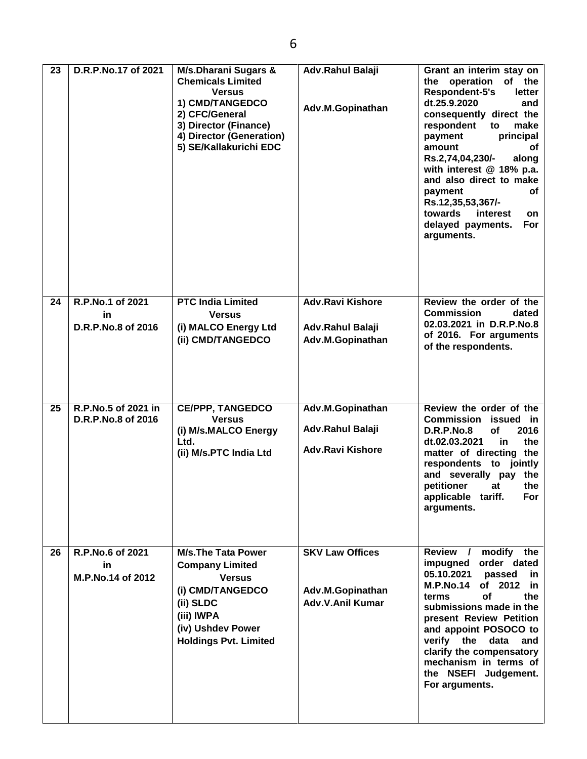| 23 | D.R.P.No.17 of 2021                          | M/s.Dharani Sugars &<br><b>Chemicals Limited</b><br><b>Versus</b><br>1) CMD/TANGEDCO<br>2) CFC/General<br>3) Director (Finance)<br>4) Director (Generation)<br>5) SE/Kallakurichi EDC | Adv.Rahul Balaji<br>Adv.M.Gopinathan                            | Grant an interim stay on<br>of the<br>the operation<br>Respondent-5's<br>letter<br>dt.25.9.2020<br>and<br>consequently direct the<br>respondent<br>make<br>to<br>principal<br>payment<br>amount<br>οf<br>along<br>Rs.2,74,04,230/-<br>with interest @ 18% p.a.<br>and also direct to make<br>payment<br>оf<br>Rs.12,35,53,367/-<br>towards<br>interest<br>on<br>delayed payments.<br>For<br>arguments. |
|----|----------------------------------------------|---------------------------------------------------------------------------------------------------------------------------------------------------------------------------------------|-----------------------------------------------------------------|--------------------------------------------------------------------------------------------------------------------------------------------------------------------------------------------------------------------------------------------------------------------------------------------------------------------------------------------------------------------------------------------------------|
| 24 | R.P.No.1 of 2021<br>in<br>D.R.P.No.8 of 2016 | <b>PTC India Limited</b><br><b>Versus</b><br>(i) MALCO Energy Ltd<br>(ii) CMD/TANGEDCO                                                                                                | <b>Adv.Ravi Kishore</b><br>Adv.Rahul Balaji<br>Adv.M.Gopinathan | Review the order of the<br><b>Commission</b><br>dated<br>02.03.2021 in D.R.P.No.8<br>of 2016. For arguments<br>of the respondents.                                                                                                                                                                                                                                                                     |
| 25 | R.P.No.5 of 2021 in<br>D.R.P.No.8 of 2016    | <b>CE/PPP, TANGEDCO</b><br><b>Versus</b><br>(i) M/s.MALCO Energy<br>Ltd.<br>(ii) M/s.PTC India Ltd                                                                                    | Adv.M.Gopinathan<br>Adv.Rahul Balaji<br><b>Adv.Ravi Kishore</b> | Review the order of the<br><b>Commission</b><br>issued in<br><b>D.R.P.No.8</b><br>2016<br>οf<br>dt.02.03.2021<br>the<br>in.<br>matter of directing the<br>respondents to jointly<br>and severally pay the<br>petitioner<br>the<br>at<br>applicable tariff.<br>For<br>arguments.                                                                                                                        |
| 26 | R.P.No.6 of 2021<br>in.<br>M.P.No.14 of 2012 | <b>M/s.The Tata Power</b><br><b>Company Limited</b><br><b>Versus</b><br>(i) CMD/TANGEDCO<br>(ii) SLDC<br>(iii) IWPA<br>(iv) Ushdev Power<br><b>Holdings Pvt. Limited</b>              | <b>SKV Law Offices</b><br>Adv.M.Gopinathan<br>Adv.V.Anil Kumar  | Review /<br>modify the<br>order dated<br>impugned<br>05.10.2021<br>passed<br>in.<br><b>M.P.No.14</b><br>of 2012<br>in.<br>οf<br>the<br>terms<br>submissions made in the<br>present Review Petition<br>and appoint POSOCO to<br>verify the<br>data<br>and<br>clarify the compensatory<br>mechanism in terms of<br>the NSEFI Judgement.<br>For arguments.                                                |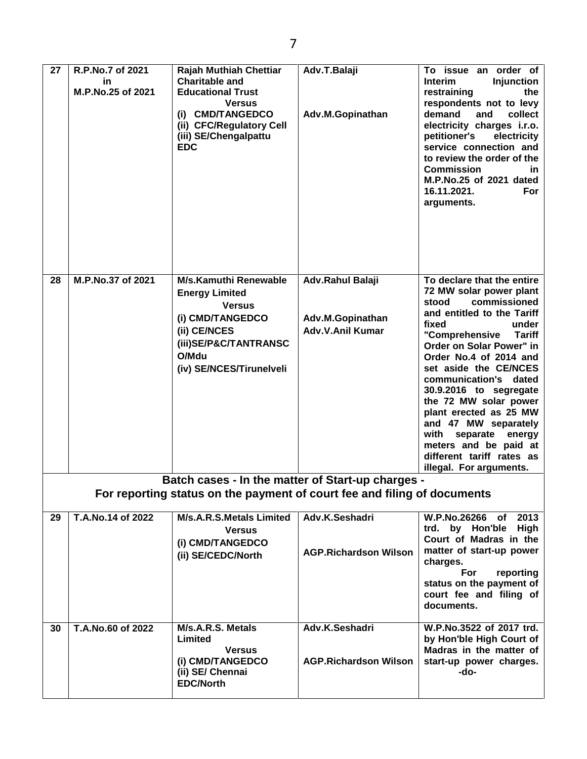| 27 | R.P.No.7 of 2021<br>in<br>M.P.No.25 of 2021 | <b>Rajah Muthiah Chettiar</b><br><b>Charitable and</b><br><b>Educational Trust</b><br><b>Versus</b><br>(i) CMD/TANGEDCO<br>(ii) CFC/Regulatory Cell<br>(iii) SE/Chengalpattu<br><b>EDC</b> | Adv.T.Balaji<br>Adv.M.Gopinathan                                | To issue an order of<br>Interim<br><b>Injunction</b><br>restraining<br>the<br>respondents not to levy<br>demand<br>and<br>collect<br>electricity charges i.r.o.<br>petitioner's<br>electricity<br>service connection and<br>to review the order of the<br><b>Commission</b><br>in.<br>M.P.No.25 of 2021 dated<br>16.11.2021.<br><b>For</b><br>arguments.                                                                                                                                   |
|----|---------------------------------------------|--------------------------------------------------------------------------------------------------------------------------------------------------------------------------------------------|-----------------------------------------------------------------|--------------------------------------------------------------------------------------------------------------------------------------------------------------------------------------------------------------------------------------------------------------------------------------------------------------------------------------------------------------------------------------------------------------------------------------------------------------------------------------------|
| 28 | M.P.No.37 of 2021                           | <b>M/s.Kamuthi Renewable</b><br><b>Energy Limited</b><br><b>Versus</b><br>(i) CMD/TANGEDCO<br>(ii) CE/NCES<br>(iii)SE/P&C/TANTRANSC<br>O/Mdu<br>(iv) SE/NCES/Tirunelveli                   | Adv.Rahul Balaji<br>Adv.M.Gopinathan<br><b>Adv.V.Anil Kumar</b> | To declare that the entire<br>72 MW solar power plant<br>commissioned<br>stood<br>and entitled to the Tariff<br>fixed<br>under<br><b>Tariff</b><br>"Comprehensive<br>Order on Solar Power" in<br>Order No.4 of 2014 and<br>set aside the CE/NCES<br>communication's dated<br>30.9.2016 to segregate<br>the 72 MW solar power<br>plant erected as 25 MW<br>and 47 MW separately<br>with<br>separate energy<br>meters and be paid at<br>different tariff rates as<br>illegal. For arguments. |
|    |                                             | Batch cases - In the matter of Start-up charges -<br>For reporting status on the payment of court fee and filing of documents                                                              |                                                                 |                                                                                                                                                                                                                                                                                                                                                                                                                                                                                            |
| 29 | T.A.No.14 of 2022                           | M/s.A.R.S.Metals Limited<br><b>Versus</b><br>(i) CMD/TANGEDCO<br>(ii) SE/CEDC/North                                                                                                        | Adv.K.Seshadri<br><b>AGP.Richardson Wilson</b>                  | W.P.No.26266 of 2013<br>trd. by Hon'ble<br>High<br>Court of Madras in the<br>matter of start-up power<br>charges.<br>For<br>reporting<br>status on the payment of<br>court fee and filing of<br>documents.                                                                                                                                                                                                                                                                                 |
| 30 | T.A.No.60 of 2022                           | M/s.A.R.S. Metals<br>Limited<br><b>Versus</b><br>(i) CMD/TANGEDCO<br>(ii) SE/ Chennai<br><b>EDC/North</b>                                                                                  | Adv.K.Seshadri<br><b>AGP.Richardson Wilson</b>                  | W.P.No.3522 of 2017 trd.<br>by Hon'ble High Court of<br>Madras in the matter of<br>start-up power charges.<br>-do-                                                                                                                                                                                                                                                                                                                                                                         |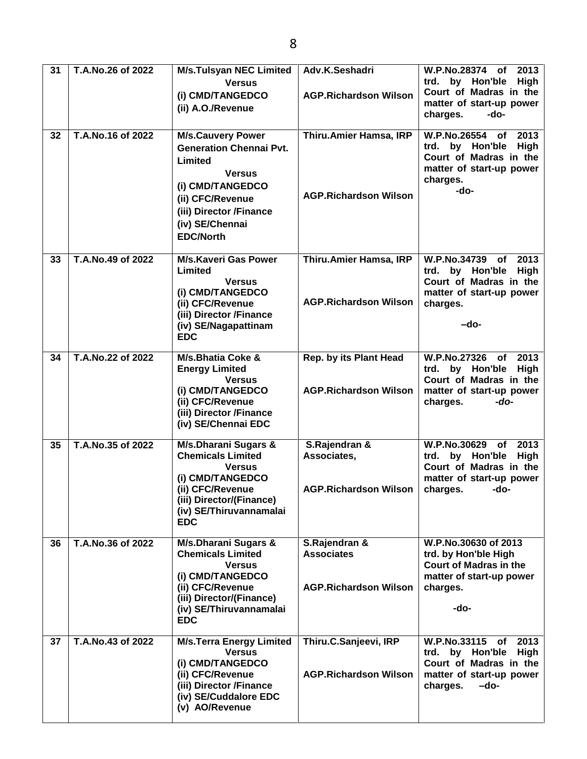| 31 | T.A.No.26 of 2022 | <b>M/s.Tulsyan NEC Limited</b><br><b>Versus</b><br>(i) CMD/TANGEDCO<br>(ii) A.O./Revenue                                                                                                         | Adv.K.Seshadri<br><b>AGP.Richardson Wilson</b>                     | <b>W.P.No.28374</b><br>2013<br>of<br>trd. by Hon'ble<br>High<br>Court of Madras in the<br>matter of start-up power<br>charges.<br>-do- |
|----|-------------------|--------------------------------------------------------------------------------------------------------------------------------------------------------------------------------------------------|--------------------------------------------------------------------|----------------------------------------------------------------------------------------------------------------------------------------|
| 32 | T.A.No.16 of 2022 | <b>M/s.Cauvery Power</b><br><b>Generation Chennai Pvt.</b><br>Limited<br><b>Versus</b><br>(i) CMD/TANGEDCO<br>(ii) CFC/Revenue<br>(iii) Director /Finance<br>(iv) SE/Chennai<br><b>EDC/North</b> | Thiru.Amier Hamsa, IRP<br><b>AGP.Richardson Wilson</b>             | W.P.No.26554 of<br>2013<br>trd. by Hon'ble<br>High<br>Court of Madras in the<br>matter of start-up power<br>charges.<br>-do-           |
| 33 | T.A.No.49 of 2022 | <b>M/s.Kaveri Gas Power</b><br>Limited<br><b>Versus</b><br>(i) CMD/TANGEDCO<br>(ii) CFC/Revenue<br>(iii) Director /Finance<br>(iv) SE/Nagapattinam<br><b>EDC</b>                                 | Thiru.Amier Hamsa, IRP<br><b>AGP.Richardson Wilson</b>             | <b>W.P.No.34739</b><br>2013<br>of<br>trd. by Hon'ble<br>High<br>Court of Madras in the<br>matter of start-up power<br>charges.<br>-do- |
| 34 | T.A.No.22 of 2022 | M/s.Bhatia Coke &<br><b>Energy Limited</b><br><b>Versus</b><br>(i) CMD/TANGEDCO<br>(ii) CFC/Revenue<br>(iii) Director /Finance<br>(iv) SE/Chennai EDC                                            | Rep. by its Plant Head<br><b>AGP.Richardson Wilson</b>             | <b>W.P.No.27326</b><br>2013<br>of<br>trd. by Hon'ble<br>High<br>Court of Madras in the<br>matter of start-up power<br>charges.<br>-do- |
| 35 | T.A.No.35 of 2022 | M/s.Dharani Sugars &<br><b>Chemicals Limited</b><br><b>Versus</b><br>(i) CMD/TANGEDCO<br>(ii) CFC/Revenue<br>(iii) Director/(Finance)<br>(iv) SE/Thiruvannamalai<br><b>EDC</b>                   | S.Rajendran &<br>Associates,<br><b>AGP.Richardson Wilson</b>       | 2013<br>W.P.No.30629 of<br>by Hon'ble<br>trd.<br>High<br>Court of Madras in the<br>matter of start-up power<br>charges.<br>-do-        |
| 36 | T.A.No.36 of 2022 | M/s.Dharani Sugars &<br><b>Chemicals Limited</b><br><b>Versus</b><br>(i) CMD/TANGEDCO<br>(ii) CFC/Revenue<br>(iii) Director/(Finance)<br>(iv) SE/Thiruvannamalai<br><b>EDC</b>                   | S.Rajendran &<br><b>Associates</b><br><b>AGP.Richardson Wilson</b> | W.P.No.30630 of 2013<br>trd. by Hon'ble High<br><b>Court of Madras in the</b><br>matter of start-up power<br>charges.<br>-do-          |
| 37 | T.A.No.43 of 2022 | <b>M/s.Terra Energy Limited</b><br><b>Versus</b><br>(i) CMD/TANGEDCO<br>(ii) CFC/Revenue<br>(iii) Director /Finance<br>(iv) SE/Cuddalore EDC<br>(v) AO/Revenue                                   | Thiru.C.Sanjeevi, IRP<br><b>AGP.Richardson Wilson</b>              | W.P.No.33115 of<br>2013<br>trd. by Hon'ble<br>High<br>Court of Madras in the<br>matter of start-up power<br>charges.<br>-do-           |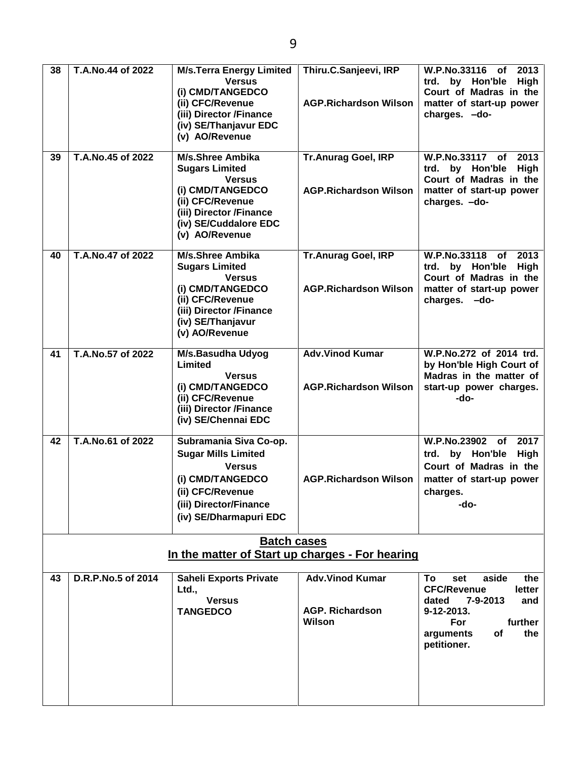| 38 | T.A.No.44 of 2022<br>T.A.No.45 of 2022 | <b>M/s.Terra Energy Limited</b><br><b>Versus</b><br>(i) CMD/TANGEDCO<br>(ii) CFC/Revenue<br>(iii) Director /Finance<br>(iv) SE/Thanjavur EDC<br>(v) AO/Revenue                  | Thiru.C.Sanjeevi, IRP<br><b>AGP.Richardson Wilson</b>      | W.P.No.33116<br>2013<br>of<br>trd. by Hon'ble<br><b>High</b><br>Court of Madras in the<br>matter of start-up power<br>charges. - do-                                  |
|----|----------------------------------------|---------------------------------------------------------------------------------------------------------------------------------------------------------------------------------|------------------------------------------------------------|-----------------------------------------------------------------------------------------------------------------------------------------------------------------------|
| 39 |                                        | <b>M/s.Shree Ambika</b><br><b>Sugars Limited</b><br><b>Versus</b><br>(i) CMD/TANGEDCO<br>(ii) CFC/Revenue<br>(iii) Director /Finance<br>(iv) SE/Cuddalore EDC<br>(v) AO/Revenue | <b>Tr.Anurag Goel, IRP</b><br><b>AGP.Richardson Wilson</b> | W.P.No.33117 of<br>2013<br>trd. by Hon'ble<br><b>High</b><br>Court of Madras in the<br>matter of start-up power<br>charges. - do-                                     |
| 40 | T.A.No.47 of 2022                      | <b>M/s.Shree Ambika</b><br><b>Sugars Limited</b><br><b>Versus</b><br>(i) CMD/TANGEDCO<br>(ii) CFC/Revenue<br>(iii) Director /Finance<br>(iv) SE/Thanjavur<br>(v) AO/Revenue     | <b>Tr.Anurag Goel, IRP</b><br><b>AGP.Richardson Wilson</b> | W.P.No.33118 of<br>2013<br>trd. by Hon'ble<br>High<br>Court of Madras in the<br>matter of start-up power<br>charges. - do-                                            |
| 41 | T.A.No.57 of 2022                      | M/s.Basudha Udyog<br>Limited<br><b>Versus</b><br>(i) CMD/TANGEDCO<br>(ii) CFC/Revenue<br>(iii) Director /Finance<br>(iv) SE/Chennai EDC                                         | <b>Adv.Vinod Kumar</b><br><b>AGP.Richardson Wilson</b>     | W.P.No.272 of 2014 trd.<br>by Hon'ble High Court of<br>Madras in the matter of<br>start-up power charges.<br>-do-                                                     |
| 42 | T.A.No.61 of 2022                      | Subramania Siva Co-op.<br><b>Sugar Mills Limited</b><br><b>Versus</b><br>(i) CMD/TANGEDCO<br>(ii) CFC/Revenue<br>(iii) Director/Finance<br>(iv) SE/Dharmapuri EDC               | <b>AGP.Richardson Wilson</b>                               | W.P.No.23902<br>2017<br><b>of</b><br>trd. by Hon'ble<br>High<br>Court of Madras in the<br>matter of start-up power<br>charges.<br>-do-                                |
|    |                                        | <b>Batch cases</b><br>In the matter of Start up charges - For hearing                                                                                                           |                                                            |                                                                                                                                                                       |
| 43 | D.R.P.No.5 of 2014                     | <b>Saheli Exports Private</b><br>Ltd.,<br><b>Versus</b><br><b>TANGEDCO</b>                                                                                                      | <b>Adv.Vinod Kumar</b><br><b>AGP. Richardson</b><br>Wilson | To<br>aside<br>the<br>set<br><b>CFC/Revenue</b><br>letter<br>7-9-2013<br>dated<br>and<br>9-12-2013.<br>further<br>For<br>the<br>arguments<br><b>of</b><br>petitioner. |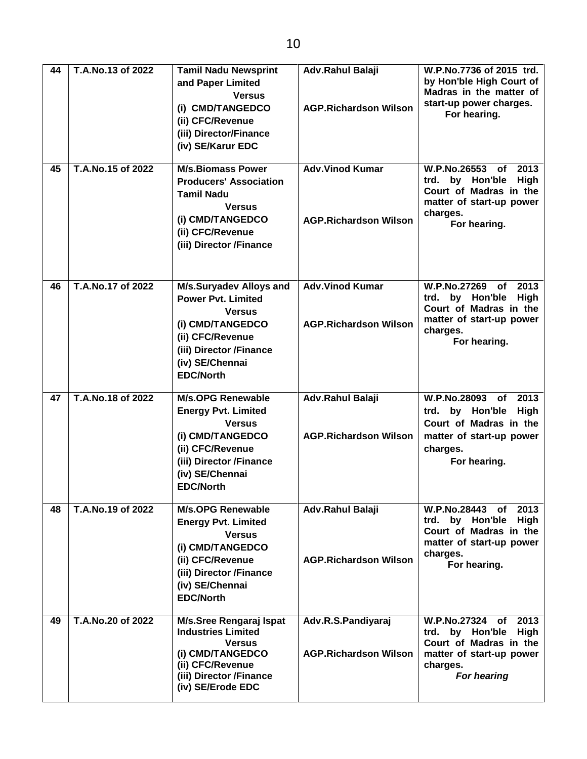| 44 | T.A.No.13 of 2022 | <b>Tamil Nadu Newsprint</b><br>and Paper Limited<br><b>Versus</b><br>(i) CMD/TANGEDCO<br>(ii) CFC/Revenue<br>(iii) Director/Finance<br>(iv) SE/Karur EDC                          | Adv.Rahul Balaji<br><b>AGP.Richardson Wilson</b>       | W.P.No.7736 of 2015 trd.<br>by Hon'ble High Court of<br>Madras in the matter of<br>start-up power charges.<br>For hearing.                              |
|----|-------------------|-----------------------------------------------------------------------------------------------------------------------------------------------------------------------------------|--------------------------------------------------------|---------------------------------------------------------------------------------------------------------------------------------------------------------|
| 45 | T.A.No.15 of 2022 | <b>M/s.Biomass Power</b><br><b>Producers' Association</b><br><b>Tamil Nadu</b><br><b>Versus</b><br>(i) CMD/TANGEDCO<br>(ii) CFC/Revenue<br>(iii) Director /Finance                | <b>Adv.Vinod Kumar</b><br><b>AGP.Richardson Wilson</b> | W.P.No.26553 of<br>2013<br>High<br>trd.<br>by Hon'ble<br>Court of Madras in the<br>matter of start-up power<br>charges.<br>For hearing.                 |
| 46 | T.A.No.17 of 2022 | M/s.Suryadev Alloys and<br><b>Power Pyt. Limited</b><br><b>Versus</b><br>(i) CMD/TANGEDCO<br>(ii) CFC/Revenue<br>(iii) Director /Finance<br>(iv) SE/Chennai<br><b>EDC/North</b>   | <b>Adv.Vinod Kumar</b><br><b>AGP.Richardson Wilson</b> | W.P.No.27269 of<br>2013<br>trd. by Hon'ble<br>High<br>Court of Madras in the<br>matter of start-up power<br>charges.<br>For hearing.                    |
| 47 | T.A.No.18 of 2022 | <b>M/s.OPG Renewable</b><br><b>Energy Pvt. Limited</b><br><b>Versus</b><br>(i) CMD/TANGEDCO<br>(ii) CFC/Revenue<br>(iii) Director /Finance<br>(iv) SE/Chennai<br><b>EDC/North</b> | Adv.Rahul Balaji<br><b>AGP.Richardson Wilson</b>       | <b>W.P.No.28093</b><br>2013<br>of<br>trd. by Hon'ble<br>High<br>Court of Madras in the<br>matter of start-up power<br>charges.<br>For hearing.          |
| 48 | T.A.No.19 of 2022 | <b>M/s.OPG Renewable</b><br><b>Energy Pvt. Limited</b><br><b>Versus</b><br>(i) CMD/TANGEDCO<br>(ii) CFC/Revenue<br>(iii) Director /Finance<br>(iv) SE/Chennai<br><b>EDC/North</b> | Adv.Rahul Balaji<br><b>AGP.Richardson Wilson</b>       | W.P.No.28443 of 2013<br>trd. by Hon'ble<br>High<br>Court of Madras in the<br>matter of start-up power<br>charges.<br>For hearing.                       |
| 49 | T.A.No.20 of 2022 | <b>M/s.Sree Rengaraj Ispat</b><br><b>Industries Limited</b><br><b>Versus</b><br>(i) CMD/TANGEDCO<br>(ii) CFC/Revenue<br>(iii) Director /Finance<br>(iv) SE/Erode EDC              | Adv.R.S.Pandiyaraj<br><b>AGP.Richardson Wilson</b>     | <b>W.P.No.27324</b><br>2013<br>of<br>by Hon'ble<br><b>High</b><br>trd.<br>Court of Madras in the<br>matter of start-up power<br>charges.<br>For hearing |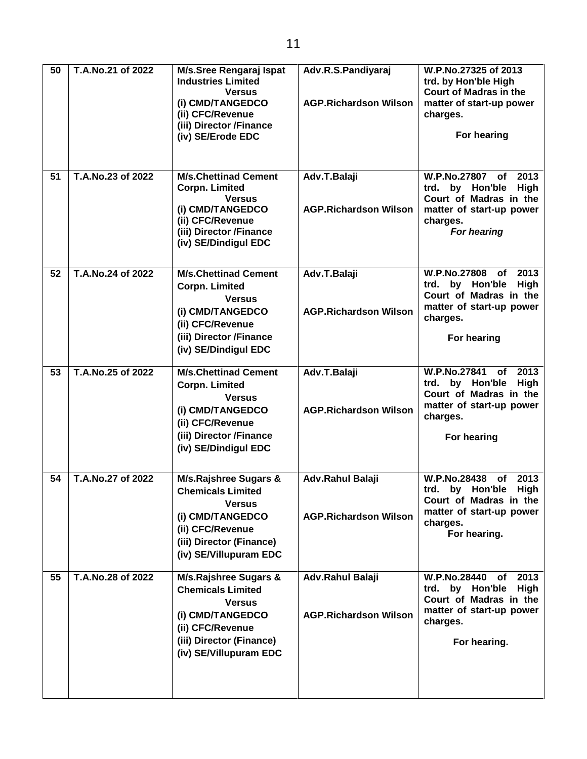| 50 | T.A.No.21 of 2022 | M/s.Sree Rengaraj Ispat<br><b>Industries Limited</b><br><b>Versus</b><br>(i) CMD/TANGEDCO<br>(ii) CFC/Revenue<br>(iii) Director /Finance<br>(iv) SE/Erode EDC               | Adv.R.S.Pandiyaraj<br><b>AGP.Richardson Wilson</b> | W.P.No.27325 of 2013<br>trd. by Hon'ble High<br><b>Court of Madras in the</b><br>matter of start-up power<br>charges.<br>For hearing              |
|----|-------------------|-----------------------------------------------------------------------------------------------------------------------------------------------------------------------------|----------------------------------------------------|---------------------------------------------------------------------------------------------------------------------------------------------------|
| 51 | T.A.No.23 of 2022 | <b>M/s.Chettinad Cement</b><br><b>Corpn. Limited</b><br><b>Versus</b><br>(i) CMD/TANGEDCO<br>(ii) CFC/Revenue<br>(iii) Director /Finance<br>(iv) SE/Dindigul EDC            | Adv.T.Balaji<br><b>AGP.Richardson Wilson</b>       | W.P.No.27807 of<br>2013<br>trd. by Hon'ble<br>High<br>Court of Madras in the<br>matter of start-up power<br>charges.<br>For hearing               |
| 52 | T.A.No.24 of 2022 | <b>M/s.Chettinad Cement</b><br><b>Corpn. Limited</b><br><b>Versus</b><br>(i) CMD/TANGEDCO<br>(ii) CFC/Revenue<br>(iii) Director /Finance<br>(iv) SE/Dindigul EDC            | Adv.T.Balaji<br><b>AGP.Richardson Wilson</b>       | W.P.No.27808<br>of<br>2013<br>trd. by Hon'ble<br>High<br>Court of Madras in the<br>matter of start-up power<br>charges.<br>For hearing            |
| 53 | T.A.No.25 of 2022 | <b>M/s.Chettinad Cement</b><br><b>Corpn. Limited</b><br><b>Versus</b><br>(i) CMD/TANGEDCO<br>(ii) CFC/Revenue<br>(iii) Director /Finance<br>(iv) SE/Dindigul EDC            | Adv.T.Balaji<br><b>AGP.Richardson Wilson</b>       | W.P.No.27841<br>2013<br>of<br>trd. by Hon'ble<br>High<br>Court of Madras in the<br>matter of start-up power<br>charges.<br>For hearing            |
| 54 | T.A.No.27 of 2022 | <b>M/s.Rajshree Sugars &amp;</b><br><b>Chemicals Limited</b><br><b>Versus</b><br>(i) CMD/TANGEDCO<br>(ii) CFC/Revenue<br>(iii) Director (Finance)<br>(iv) SE/Villupuram EDC | Adv.Rahul Balaji<br><b>AGP.Richardson Wilson</b>   | W.P.No.28438<br>2013<br><b>of</b><br>by Hon'ble<br>High<br>trd.<br>Court of Madras in the<br>matter of start-up power<br>charges.<br>For hearing. |
| 55 | T.A.No.28 of 2022 | M/s.Rajshree Sugars &<br><b>Chemicals Limited</b><br><b>Versus</b><br>(i) CMD/TANGEDCO<br>(ii) CFC/Revenue<br>(iii) Director (Finance)<br>(iv) SE/Villupuram EDC            | Adv.Rahul Balaji<br><b>AGP.Richardson Wilson</b>   | <b>W.P.No.28440</b><br>2013<br>of<br>by Hon'ble<br>High<br>trd.<br>Court of Madras in the<br>matter of start-up power<br>charges.<br>For hearing. |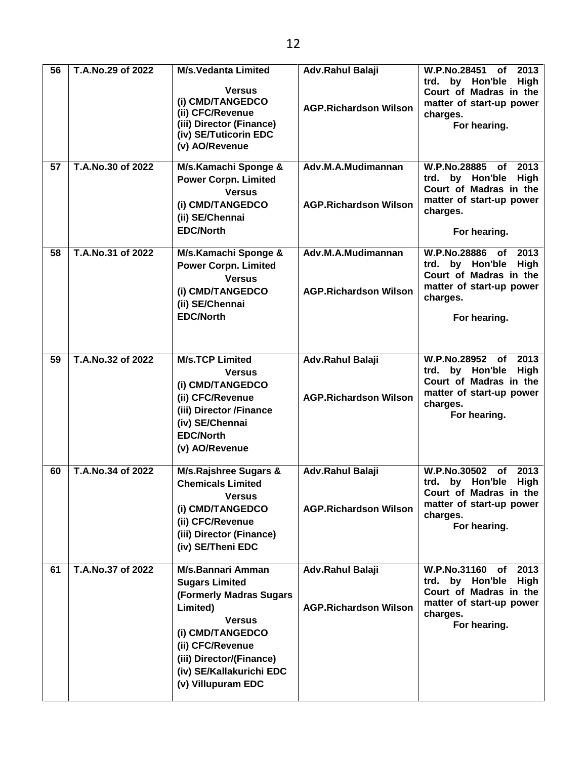| 56 | T.A.No.29 of 2022 | <b>M/s.Vedanta Limited</b><br><b>Versus</b><br>(i) CMD/TANGEDCO<br>(ii) CFC/Revenue<br>(iii) Director (Finance)<br>(iv) SE/Tuticorin EDC<br>(v) AO/Revenue                                                                      | Adv.Rahul Balaji<br><b>AGP.Richardson Wilson</b>   | W.P.No.28451<br>2013<br>of<br>trd. by Hon'ble<br><b>High</b><br>Court of Madras in the<br>matter of start-up power<br>charges.<br>For hearing. |
|----|-------------------|---------------------------------------------------------------------------------------------------------------------------------------------------------------------------------------------------------------------------------|----------------------------------------------------|------------------------------------------------------------------------------------------------------------------------------------------------|
| 57 | T.A.No.30 of 2022 | M/s.Kamachi Sponge &<br><b>Power Corpn. Limited</b><br><b>Versus</b><br>(i) CMD/TANGEDCO<br>(ii) SE/Chennai<br><b>EDC/North</b>                                                                                                 | Adv.M.A.Mudimannan<br><b>AGP.Richardson Wilson</b> | W.P.No.28885 of 2013<br>trd. by Hon'ble<br>High<br>Court of Madras in the<br>matter of start-up power<br>charges.<br>For hearing.              |
| 58 | T.A.No.31 of 2022 | M/s.Kamachi Sponge &<br><b>Power Corpn. Limited</b><br><b>Versus</b><br>(i) CMD/TANGEDCO<br>(ii) SE/Chennai<br><b>EDC/North</b>                                                                                                 | Adv.M.A.Mudimannan<br><b>AGP.Richardson Wilson</b> | W.P.No.28886 of<br>2013<br>trd. by Hon'ble<br>High<br>Court of Madras in the<br>matter of start-up power<br>charges.<br>For hearing.           |
| 59 | T.A.No.32 of 2022 | <b>M/s.TCP Limited</b><br><b>Versus</b><br>(i) CMD/TANGEDCO<br>(ii) CFC/Revenue<br>(iii) Director /Finance<br>(iv) SE/Chennai<br><b>EDC/North</b><br>(v) AO/Revenue                                                             | Adv.Rahul Balaji<br><b>AGP.Richardson Wilson</b>   | W.P.No.28952 of<br>2013<br>by Hon'ble<br>High<br>trd.<br>Court of Madras in the<br>matter of start-up power<br>charges.<br>For hearing.        |
| 60 | T.A.No.34 of 2022 | M/s.Rajshree Sugars &<br><b>Chemicals Limited</b><br><b>Versus</b><br>(i) CMD/TANGEDCO<br>(ii) CFC/Revenue<br>(iii) Director (Finance)<br>(iv) SE/Theni EDC                                                                     | Adv.Rahul Balaji<br><b>AGP.Richardson Wilson</b>   | W.P.No.30502 of<br>2013<br>trd. by Hon'ble High<br>Court of Madras in the<br>matter of start-up power<br>charges.<br>For hearing.              |
| 61 | T.A.No.37 of 2022 | <b>M/s.Bannari Amman</b><br><b>Sugars Limited</b><br>(Formerly Madras Sugars<br>Limited)<br><b>Versus</b><br>(i) CMD/TANGEDCO<br>(ii) CFC/Revenue<br>(iii) Director/(Finance)<br>(iv) SE/Kallakurichi EDC<br>(v) Villupuram EDC | Adv.Rahul Balaji<br><b>AGP.Richardson Wilson</b>   | W.P.No.31160 of<br>2013<br><b>High</b><br>trd. by Hon'ble<br>Court of Madras in the<br>matter of start-up power<br>charges.<br>For hearing.    |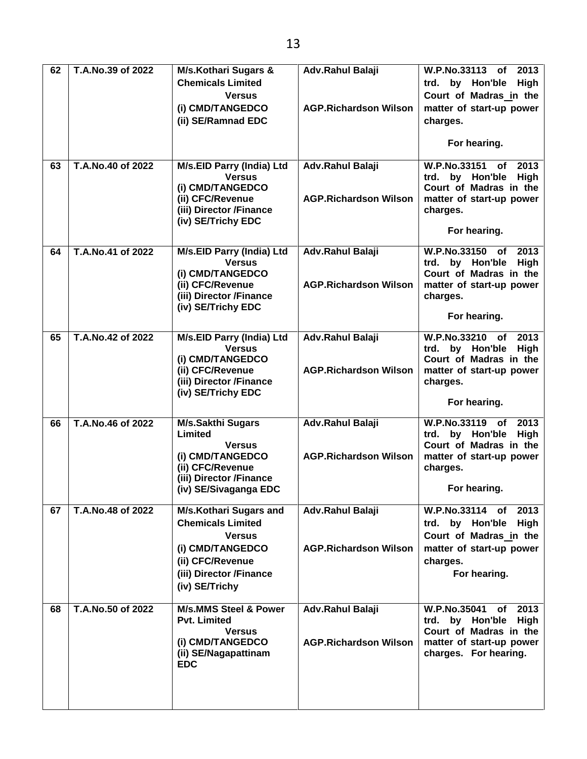| 62 | T.A.No.39 of 2022 | <b>M/s.Kothari Sugars &amp;</b>      | Adv.Rahul Balaji             | W.P.No.33113<br>2013<br>of                         |
|----|-------------------|--------------------------------------|------------------------------|----------------------------------------------------|
|    |                   | <b>Chemicals Limited</b>             |                              | High<br>trd. by Hon'ble                            |
|    |                   | <b>Versus</b>                        |                              | Court of Madras in the                             |
|    |                   | (i) CMD/TANGEDCO                     | <b>AGP.Richardson Wilson</b> | matter of start-up power                           |
|    |                   | (ii) SE/Ramnad EDC                   |                              | charges.                                           |
|    |                   |                                      |                              |                                                    |
|    |                   |                                      |                              | For hearing.                                       |
| 63 | T.A.No.40 of 2022 | M/s.EID Parry (India) Ltd            | Adv.Rahul Balaji             | W.P.No.33151<br>2013<br>of                         |
|    |                   | <b>Versus</b>                        |                              | trd. by Hon'ble<br>High                            |
|    |                   | (i) CMD/TANGEDCO<br>(ii) CFC/Revenue | <b>AGP.Richardson Wilson</b> | Court of Madras in the<br>matter of start-up power |
|    |                   | (iii) Director /Finance              |                              | charges.                                           |
|    |                   | (iv) SE/Trichy EDC                   |                              |                                                    |
|    |                   |                                      |                              | For hearing.                                       |
| 64 | T.A.No.41 of 2022 | M/s.EID Parry (India) Ltd            | Adv.Rahul Balaji             | W.P.No.33150 of<br>2013                            |
|    |                   | <b>Versus</b>                        |                              | trd. by Hon'ble<br>High                            |
|    |                   | (i) CMD/TANGEDCO<br>(ii) CFC/Revenue | <b>AGP.Richardson Wilson</b> | Court of Madras in the<br>matter of start-up power |
|    |                   | (iii) Director /Finance              |                              | charges.                                           |
|    |                   | (iv) SE/Trichy EDC                   |                              |                                                    |
|    |                   |                                      |                              | For hearing.                                       |
| 65 | T.A.No.42 of 2022 | M/s.EID Parry (India) Ltd            | Adv.Rahul Balaji             | W.P.No.33210 of<br>2013                            |
|    |                   | <b>Versus</b>                        |                              | trd. by Hon'ble<br><b>High</b>                     |
|    |                   | (i) CMD/TANGEDCO<br>(ii) CFC/Revenue | <b>AGP.Richardson Wilson</b> | Court of Madras in the                             |
|    |                   | (iii) Director /Finance              |                              | matter of start-up power<br>charges.               |
|    |                   | (iv) SE/Trichy EDC                   |                              |                                                    |
|    |                   |                                      |                              | For hearing.                                       |
| 66 | T.A.No.46 of 2022 | <b>M/s.Sakthi Sugars</b>             | Adv.Rahul Balaji             | W.P.No.33119 of<br>2013                            |
|    |                   | Limited<br><b>Versus</b>             |                              | trd. by Hon'ble<br>High<br>Court of Madras in the  |
|    |                   | (i) CMD/TANGEDCO                     | <b>AGP.Richardson Wilson</b> | matter of start-up power                           |
|    |                   | (ii) CFC/Revenue                     |                              | charges.                                           |
|    |                   | (iii) Director /Finance              |                              |                                                    |
|    |                   | (iv) SE/Sivaganga EDC                |                              | For hearing.                                       |
| 67 | T.A.No.48 of 2022 | <b>M/s.Kothari Sugars and</b>        | Adv.Rahul Balaji             | W.P.No.33114 of 2013                               |
|    |                   | <b>Chemicals Limited</b>             |                              | trd. by Hon'ble High                               |
|    |                   | <b>Versus</b>                        |                              | Court of Madras in the                             |
|    |                   | (i) CMD/TANGEDCO                     | <b>AGP.Richardson Wilson</b> | matter of start-up power                           |
|    |                   | (ii) CFC/Revenue                     |                              | charges.                                           |
|    |                   | (iii) Director /Finance              |                              | For hearing.                                       |
|    |                   | (iv) SE/Trichy                       |                              |                                                    |
| 68 | T.A.No.50 of 2022 | <b>M/s.MMS Steel &amp; Power</b>     | Adv.Rahul Balaji             | <b>W.P.No.35041</b><br>of 2013                     |
|    |                   | <b>Pvt. Limited</b>                  |                              | trd. by Hon'ble High<br>Court of Madras in the     |
|    |                   | <b>Versus</b><br>(i) CMD/TANGEDCO    | <b>AGP.Richardson Wilson</b> | matter of start-up power                           |
|    |                   | (ii) SE/Nagapattinam                 |                              | charges. For hearing.                              |
|    |                   | <b>EDC</b>                           |                              |                                                    |
|    |                   |                                      |                              |                                                    |
|    |                   |                                      |                              |                                                    |
|    |                   |                                      |                              |                                                    |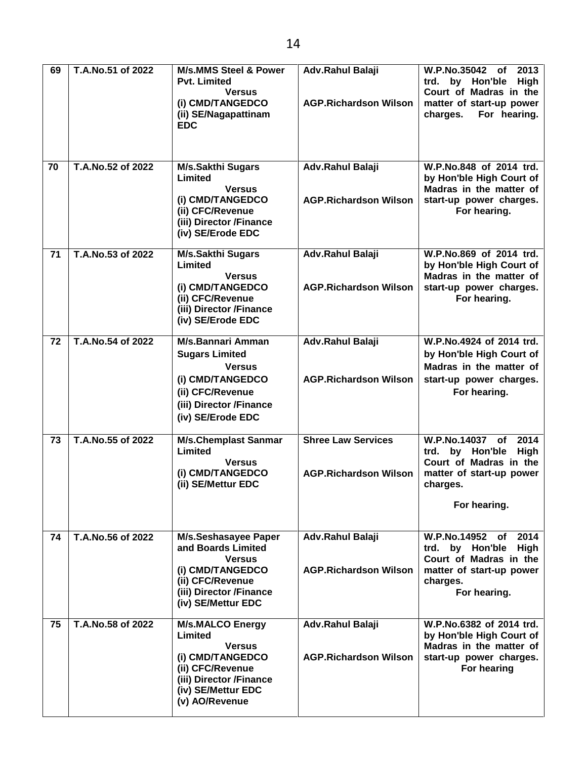| 69 | T.A.No.51 of 2022 | <b>M/s.MMS Steel &amp; Power</b><br><b>Pvt. Limited</b><br><b>Versus</b><br>(i) CMD/TANGEDCO<br>(ii) SE/Nagapattinam<br><b>EDC</b>                             | <b>Adv.Rahul Balaji</b><br><b>AGP.Richardson Wilson</b>   | W.P.No.35042 of<br>2013<br>by Hon'ble<br>trd.<br>High<br>Court of Madras in the<br>matter of start-up power<br>charges.<br>For hearing. |
|----|-------------------|----------------------------------------------------------------------------------------------------------------------------------------------------------------|-----------------------------------------------------------|-----------------------------------------------------------------------------------------------------------------------------------------|
| 70 | T.A.No.52 of 2022 | <b>M/s.Sakthi Sugars</b><br>Limited<br><b>Versus</b><br>(i) CMD/TANGEDCO<br>(ii) CFC/Revenue<br>(iii) Director /Finance<br>(iv) SE/Erode EDC                   | Adv.Rahul Balaji<br><b>AGP.Richardson Wilson</b>          | W.P.No.848 of 2014 trd.<br>by Hon'ble High Court of<br>Madras in the matter of<br>start-up power charges.<br>For hearing.               |
| 71 | T.A.No.53 of 2022 | <b>M/s.Sakthi Sugars</b><br>Limited<br><b>Versus</b><br>(i) CMD/TANGEDCO<br>(ii) CFC/Revenue<br>(iii) Director /Finance<br>(iv) SE/Erode EDC                   | Adv.Rahul Balaji<br><b>AGP.Richardson Wilson</b>          | W.P.No.869 of 2014 trd.<br>by Hon'ble High Court of<br>Madras in the matter of<br>start-up power charges.<br>For hearing.               |
| 72 | T.A.No.54 of 2022 | M/s.Bannari Amman<br><b>Sugars Limited</b><br><b>Versus</b><br>(i) CMD/TANGEDCO<br>(ii) CFC/Revenue<br>(iii) Director /Finance<br>(iv) SE/Erode EDC            | Adv.Rahul Balaji<br><b>AGP.Richardson Wilson</b>          | W.P.No.4924 of 2014 trd.<br>by Hon'ble High Court of<br>Madras in the matter of<br>start-up power charges.<br>For hearing.              |
| 73 | T.A.No.55 of 2022 | <b>M/s.Chemplast Sanmar</b><br>Limited<br><b>Versus</b><br>(i) CMD/TANGEDCO<br>(ii) SE/Mettur EDC                                                              | <b>Shree Law Services</b><br><b>AGP.Richardson Wilson</b> | W.P.No.14037 of<br>2014<br>trd. by Hon'ble<br>High<br>Court of Madras in the<br>matter of start-up power<br>charges.<br>For hearing.    |
| 74 | T.A.No.56 of 2022 | <b>M/s.Seshasayee Paper</b><br>and Boards Limited<br><b>Versus</b><br>(i) CMD/TANGEDCO<br>(ii) CFC/Revenue<br>(iii) Director /Finance<br>(iv) SE/Mettur EDC    | Adv.Rahul Balaji<br><b>AGP.Richardson Wilson</b>          | W.P.No.14952 of 2014<br>by Hon'ble<br>trd.<br>High<br>Court of Madras in the<br>matter of start-up power<br>charges.<br>For hearing.    |
| 75 | T.A.No.58 of 2022 | <b>M/s.MALCO Energy</b><br>Limited<br><b>Versus</b><br>(i) CMD/TANGEDCO<br>(ii) CFC/Revenue<br>(iii) Director /Finance<br>(iv) SE/Mettur EDC<br>(v) AO/Revenue | Adv.Rahul Balaji<br><b>AGP.Richardson Wilson</b>          | W.P.No.6382 of 2014 trd.<br>by Hon'ble High Court of<br>Madras in the matter of<br>start-up power charges.<br>For hearing               |